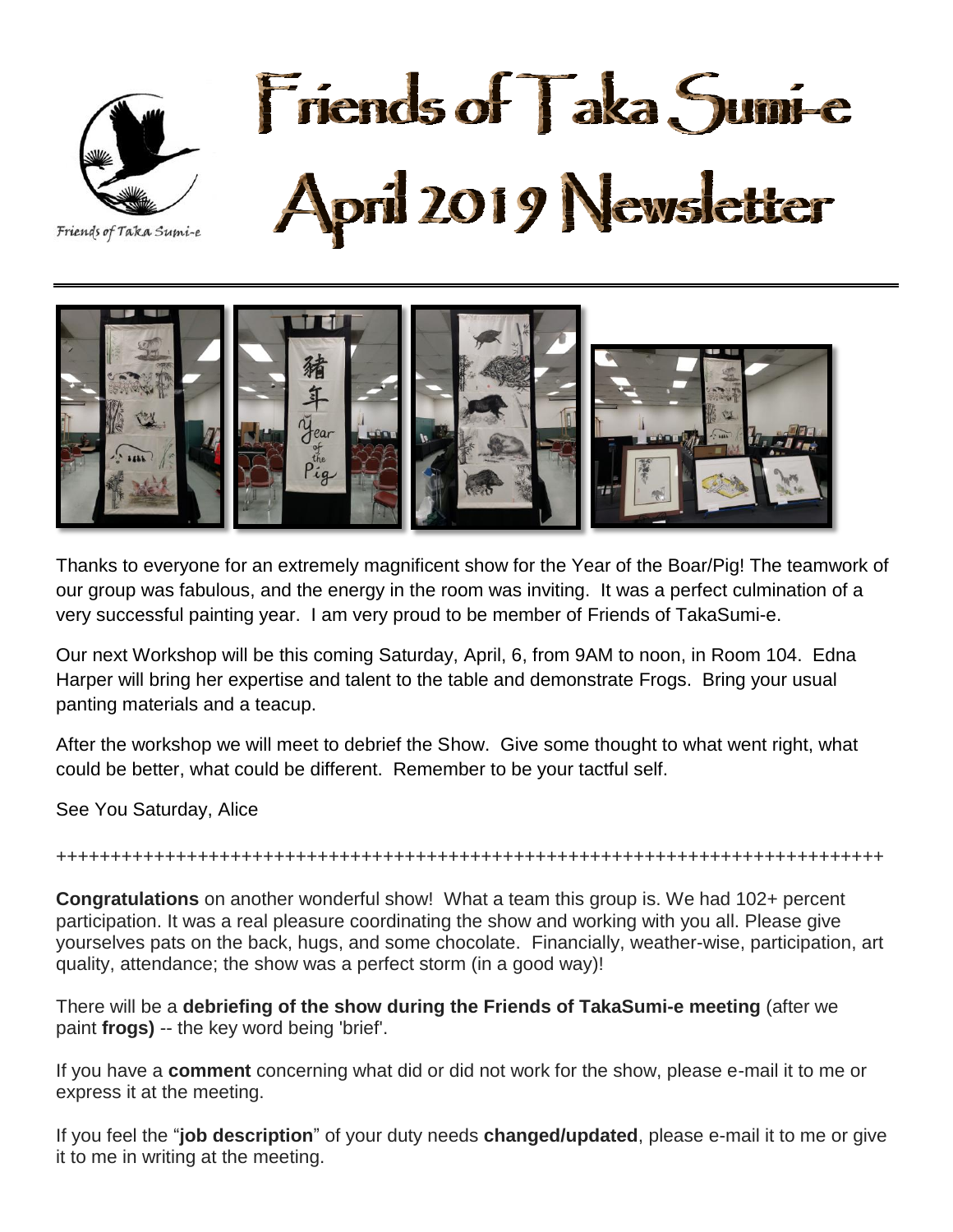

Friends of Taka Sumi-e April 2019 Newsletter

Friends of Taka Sumi-e



Thanks to everyone for an extremely magnificent show for the Year of the Boar/Pig! The teamwork of our group was fabulous, and the energy in the room was inviting. It was a perfect culmination of a very successful painting year. I am very proud to be member of Friends of TakaSumi-e.

Our next Workshop will be this coming Saturday, April, 6, from 9AM to noon, in Room 104. Edna Harper will bring her expertise and talent to the table and demonstrate Frogs. Bring your usual panting materials and a teacup.

After the workshop we will meet to debrief the Show. Give some thought to what went right, what could be better, what could be different. Remember to be your tactful self.

See You Saturday, Alice

++++++++++++++++++++++++++++++++++++++++++++++++++++++++++++++++++++++++++++

**Congratulations** on another wonderful show! What a team this group is. We had 102+ percent participation. It was a real pleasure coordinating the show and working with you all. Please give yourselves pats on the back, hugs, and some chocolate. Financially, weather-wise, participation, art quality, attendance; the show was a perfect storm (in a good way)!

There will be a **debriefing of the show during the Friends of TakaSumi-e meeting** (after we paint **frogs)** -- the key word being 'brief'.

If you have a **comment** concerning what did or did not work for the show, please e-mail it to me or express it at the meeting.

If you feel the "**job description**" of your duty needs **changed/updated**, please e-mail it to me or give it to me in writing at the meeting.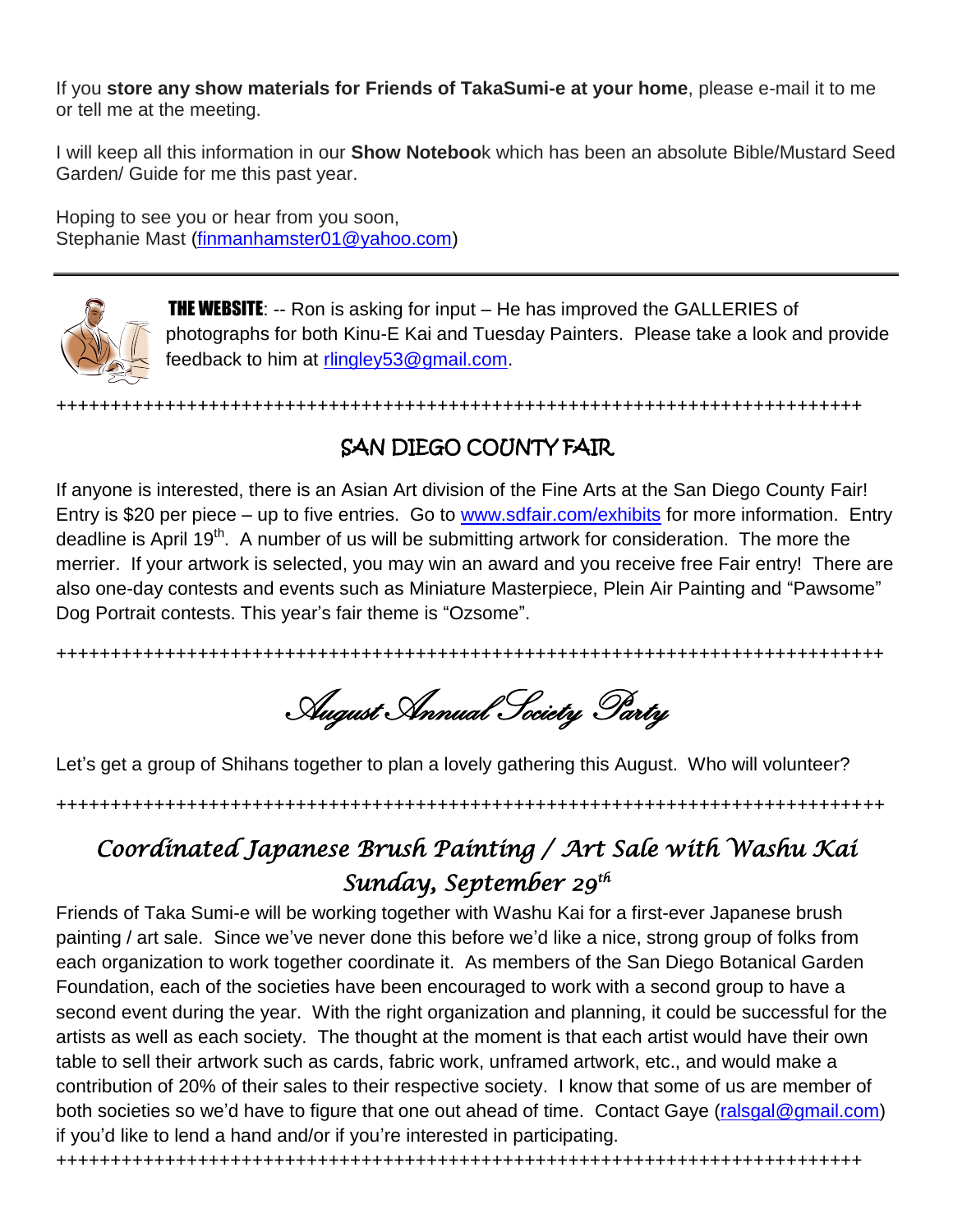If you **store any show materials for Friends of TakaSumi-e at your home**, please e-mail it to me or tell me at the meeting.

I will keep all this information in our **Show Noteboo**k which has been an absolute Bible/Mustard Seed Garden/ Guide for me this past year.

Hoping to see you or hear from you soon, Stephanie Mast [\(finmanhamster01@yahoo.com\)](mailto:finmanhamster01@yahoo.com)



**THE WEBSITE:** -- Ron is asking for input – He has improved the GALLERIES of photographs for both Kinu-E Kai and Tuesday Painters. Please take a look and provide feedback to him at [rlingley53@gmail.com.](mailto:rlingley53@gmail.com)

++++++++++++++++++++++++++++++++++++++++++++++++++++++++++++++++++++++++++

# SAN DIEGO COUNTY FAIR

If anyone is interested, there is an Asian Art division of the Fine Arts at the San Diego County Fair! Entry is \$20 per piece – up to five entries. Go to [www.sdfair.com/exhibits](http://www.sdfair.com/exhibits) for more information. Entry deadline is April 19<sup>th</sup>. A number of us will be submitting artwork for consideration. The more the merrier. If your artwork is selected, you may win an award and you receive free Fair entry! There are also one-day contests and events such as Miniature Masterpiece, Plein Air Painting and "Pawsome" Dog Portrait contests. This year's fair theme is "Ozsome".

++++++++++++++++++++++++++++++++++++++++++++++++++++++++++++++++++++++++++++

August Annual Society Party

Let's get a group of Shihans together to plan a lovely gathering this August. Who will volunteer?

++++++++++++++++++++++++++++++++++++++++++++++++++++++++++++++++++++++++++++

# *Coordinated Japanese Brush Painting / Art Sale with Washu Kai Sunday, September 29th*

Friends of Taka Sumi-e will be working together with Washu Kai for a first-ever Japanese brush painting / art sale. Since we've never done this before we'd like a nice, strong group of folks from each organization to work together coordinate it. As members of the San Diego Botanical Garden Foundation, each of the societies have been encouraged to work with a second group to have a second event during the year. With the right organization and planning, it could be successful for the artists as well as each society. The thought at the moment is that each artist would have their own table to sell their artwork such as cards, fabric work, unframed artwork, etc., and would make a contribution of 20% of their sales to their respective society. I know that some of us are member of both societies so we'd have to figure that one out ahead of time. Contact Gaye [\(ralsgal@gmail.com\)](mailto:ralsgal@gmail.com) if you'd like to lend a hand and/or if you're interested in participating.

++++++++++++++++++++++++++++++++++++++++++++++++++++++++++++++++++++++++++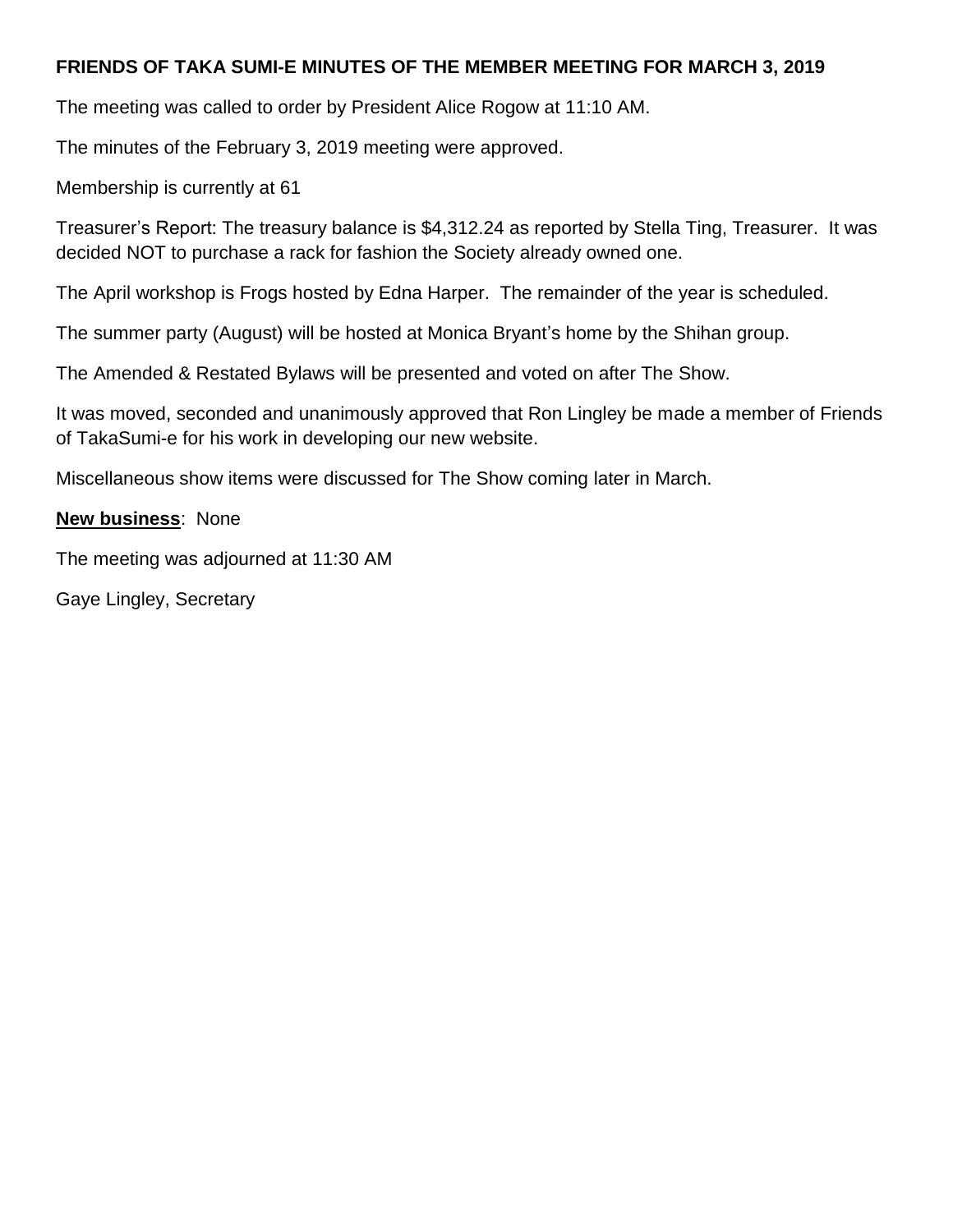# **FRIENDS OF TAKA SUMI-E MINUTES OF THE MEMBER MEETING FOR MARCH 3, 2019**

The meeting was called to order by President Alice Rogow at 11:10 AM.

The minutes of the February 3, 2019 meeting were approved.

Membership is currently at 61

Treasurer's Report: The treasury balance is \$4,312.24 as reported by Stella Ting, Treasurer. It was decided NOT to purchase a rack for fashion the Society already owned one.

The April workshop is Frogs hosted by Edna Harper. The remainder of the year is scheduled.

The summer party (August) will be hosted at Monica Bryant's home by the Shihan group.

The Amended & Restated Bylaws will be presented and voted on after The Show.

It was moved, seconded and unanimously approved that Ron Lingley be made a member of Friends of TakaSumi-e for his work in developing our new website.

Miscellaneous show items were discussed for The Show coming later in March.

#### **New business**: None

The meeting was adjourned at 11:30 AM

Gaye Lingley, Secretary